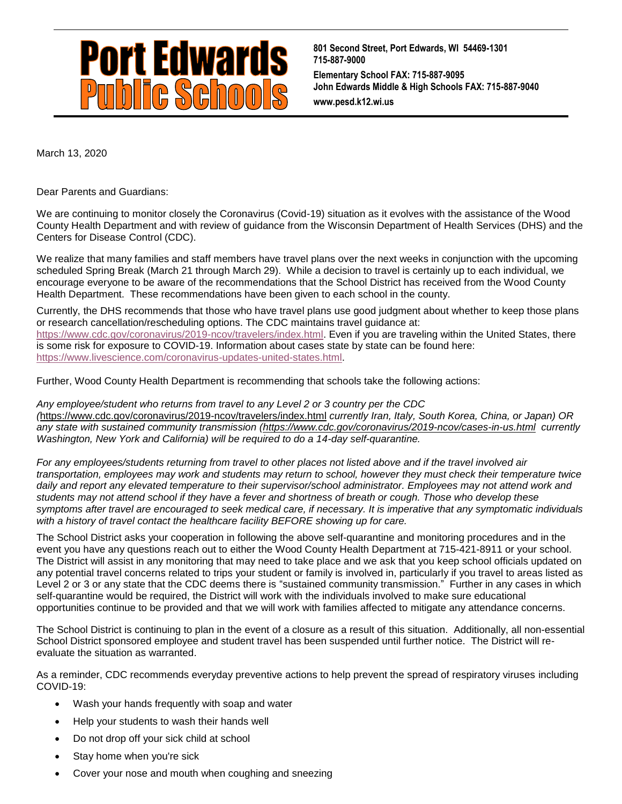

**801 Second Street, Port Edwards, WI 54469-1301 715-887-9000 Elementary School FAX: 715-887-9095 John Edwards Middle & High Schools FAX: 715-887-9040 www.pesd.k12.wi.us**

March 13, 2020

Dear Parents and Guardians:

We are continuing to monitor closely the Coronavirus (Covid-19) situation as it evolves with the assistance of the Wood County Health Department and with review of guidance from the Wisconsin Department of Health Services (DHS) and the Centers for Disease Control (CDC).

We realize that many families and staff members have travel plans over the next weeks in conjunction with the upcoming scheduled Spring Break (March 21 through March 29). While a decision to travel is certainly up to each individual, we encourage everyone to be aware of the recommendations that the School District has received from the Wood County Health Department. These recommendations have been given to each school in the county.

Currently, the DHS recommends that those who have travel plans use good judgment about whether to keep those plans or research cancellation/rescheduling options. The CDC maintains travel guidance at: [https://www.cdc.gov/coronavirus/2019-ncov/travelers/index.html.](https://www.cdc.gov/coronavirus/2019-ncov/travelers/index.html) Even if you are traveling within the United States, there is some risk for exposure to COVID-19. Information about cases state by state can be found here: [https://www.livescience.com/coronavirus-updates-united-states.html.](https://www.livescience.com/coronavirus-updates-united-states.html)

Further, Wood County Health Department is recommending that schools take the following actions:

*Any employee/student who returns from travel to any Level 2 or 3 country per the CDC (*<https://www.cdc.gov/coronavirus/2019-ncov/travelers/index.html> *currently Iran, Italy, South Korea, China, or Japan) OR any state with sustained community transmission [\(https://www.cdc.gov/coronavirus/2019-ncov/cases-in-us.html](https://www.cdc.gov/coronavirus/2019-ncov/cases-in-us.html) currently Washington, New York and California) will be required to do a 14-day self-quarantine.*

For any employees/students returning from travel to other places not listed above and if the travel involved air *transportation, employees may work and students may return to school, however they must check their temperature twice*  daily and report any elevated temperature to their supervisor/school administrator. Employees may not attend work and *students may not attend school if they have a fever and shortness of breath or cough. Those who develop these symptoms after travel are encouraged to seek medical care, if necessary. It is imperative that any symptomatic individuals with a history of travel contact the healthcare facility BEFORE showing up for care.*

The School District asks your cooperation in following the above self-quarantine and monitoring procedures and in the event you have any questions reach out to either the Wood County Health Department at 715-421-8911 or your school. The District will assist in any monitoring that may need to take place and we ask that you keep school officials updated on any potential travel concerns related to trips your student or family is involved in, particularly if you travel to areas listed as Level 2 or 3 or any state that the CDC deems there is "sustained community transmission." Further in any cases in which self-quarantine would be required, the District will work with the individuals involved to make sure educational opportunities continue to be provided and that we will work with families affected to mitigate any attendance concerns.

The School District is continuing to plan in the event of a closure as a result of this situation. Additionally, all non-essential School District sponsored employee and student travel has been suspended until further notice. The District will reevaluate the situation as warranted.

As a reminder, CDC recommends everyday preventive actions to help prevent the spread of respiratory viruses including COVID-19:

- Wash your hands frequently with soap and water
- Help your students to wash their hands well
- Do not drop off your sick child at school
- Stay home when you're sick
- Cover your nose and mouth when coughing and sneezing